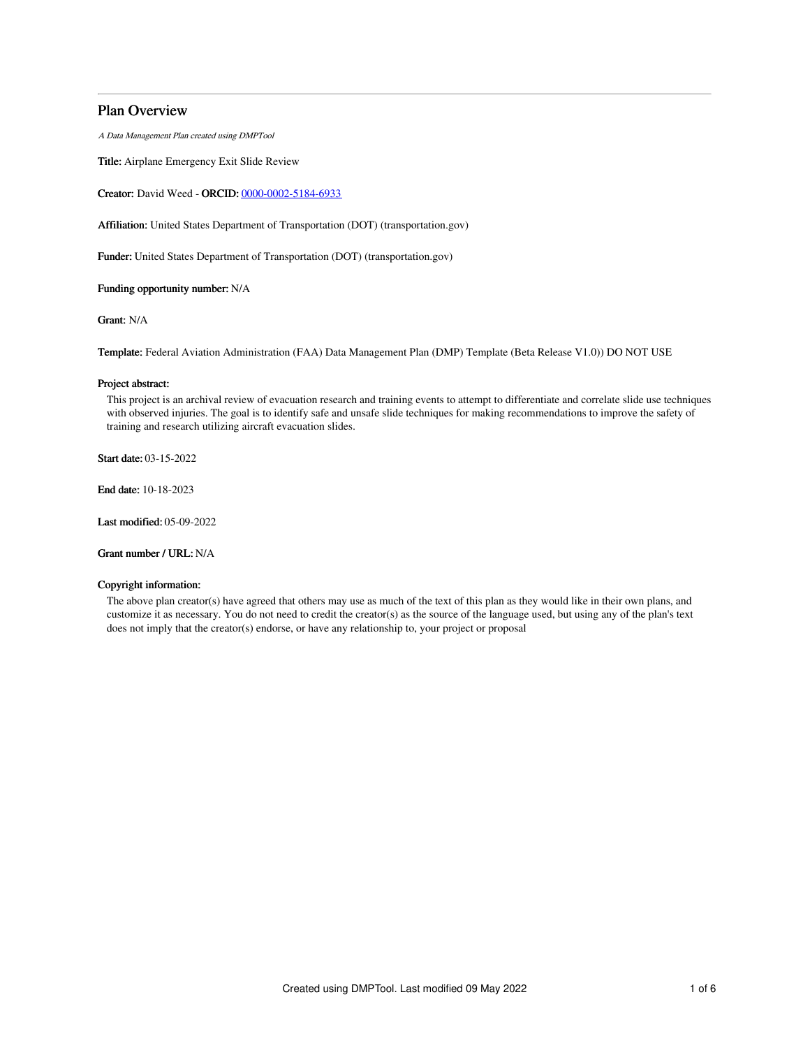# Plan Overview

A Data Management Plan created using DMPTool

Title: Airplane Emergency Exit Slide Review

Creator: David Weed - ORCID: [0000-0002-5184-6933](https://orcid.org/0000-0002-5184-6933)

Affiliation: United States Department of Transportation (DOT) (transportation.gov)

Funder: United States Department of Transportation (DOT) (transportation.gov)

Funding opportunity number: N/A

Grant: N/A

Template: Federal Aviation Administration (FAA) Data Management Plan (DMP) Template (Beta Release V1.0)) DO NOT USE

## Project abstract:

This project is an archival review of evacuation research and training events to attempt to differentiate and correlate slide use techniques with observed injuries. The goal is to identify safe and unsafe slide techniques for making recommendations to improve the safety of training and research utilizing aircraft evacuation slides.

Start date: 03-15-2022

End date: 10-18-2023

Last modified: 05-09-2022

Grant number / URL: N/A

## Copyright information:

The above plan creator(s) have agreed that others may use as much of the text of this plan as they would like in their own plans, and customize it as necessary. You do not need to credit the creator(s) as the source of the language used, but using any of the plan's text does not imply that the creator(s) endorse, or have any relationship to, your project or proposal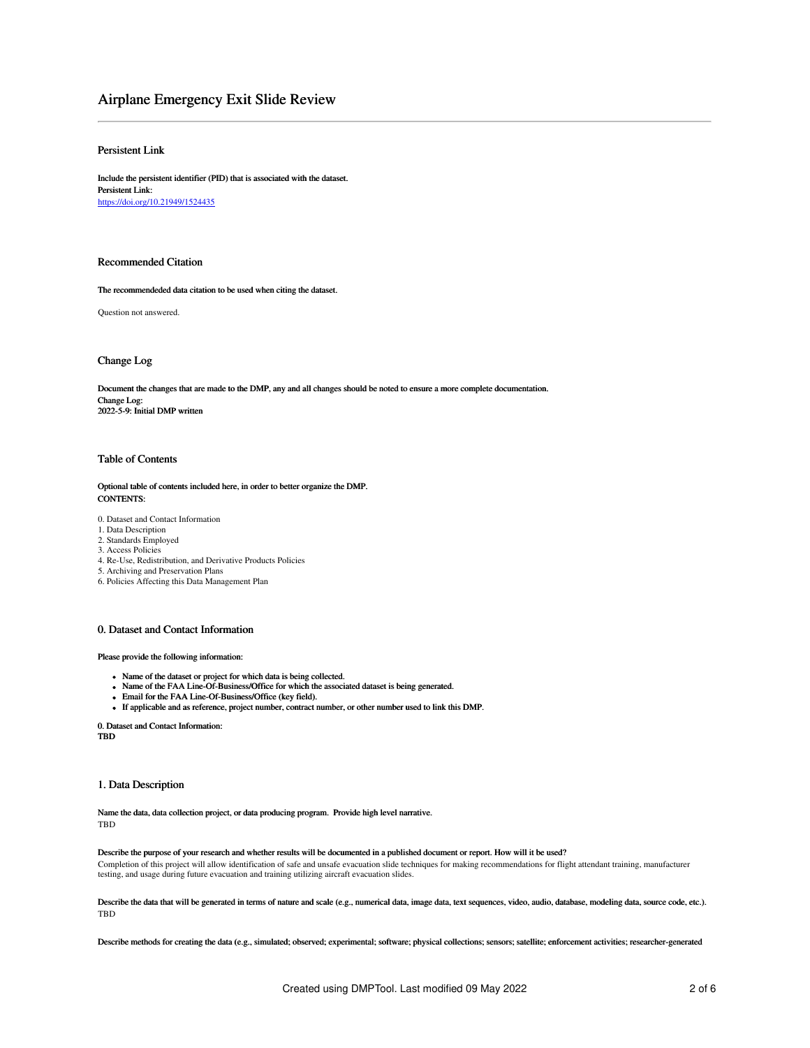# Airplane Emergency Exit Slide Review

## Persistent Link

Include the persistent identifier (PID) that is associated with the dataset. Persistent Link: <https://doi.org/10.21949/1524435>

## Recommended Citation

The recommendeded data citation to be used when citing the dataset.

Question not answered.

## Change Log

Document the changes that are made to the DMP, any and all changes should be noted to ensure a more complete documentation. Change Log: 2022-5-9: Initial DMP written

## Table of Contents

Optional table of contents included here, in order to better organize the DMP. CONTENTS:

- 0. Dataset and Contact Information
- 1. Data Description
- 2. Standards Employed
- 3. Access Policies
- 4. Re-Use, Redistribution, and Derivative Products Policies
- 5. Archiving and Preservation Plans
- 6. Policies Affecting this Data Management Plan

## 0. Dataset and Contact Information

Please provide the following information:

- Name of the dataset or project for which data is being collected.
- Name of the FAA Line-Of-Business/Office for which the associated dataset is being generated.
- Email for the FAA Line-Of-Business/Office (key field).
- If applicable and as reference, project number, contract number, or other number used to link this DMP.

0. Dataset and Contact Information: TBD

## 1. Data Description

Name the data, data collection project, or data producing program. Provide high level narrative. TBD

## Describe the purpose of your research and whether results will be documented in a published document or report. How will it be used?

Completion of this project will allow identification of safe and unsafe evacuation slide techniques for making recommendations for flight attendant training, manufacturer testing, and usage during future evacuation and training utilizing aircraft evacuation slides.

Describe the data that will be generated in terms of nature and scale (e.g., numerical data, image data, text sequences, video, audio, database, modeling data, source code, etc.). TBD

Describe methods for creating the data (e.g., simulated; observed; experimental; software; physical collections; sensors; satellite; enforcement activities; researcher-generated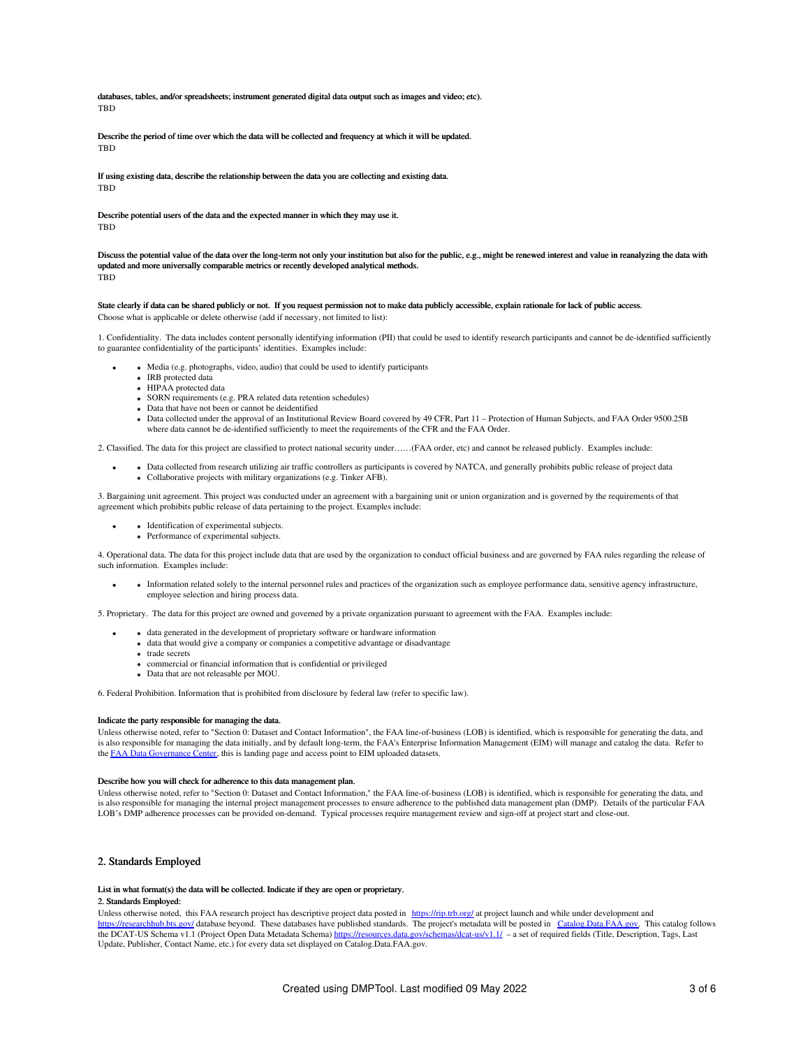databases, tables, and/or spreadsheets; instrument generated digital data output such as images and video; etc). **TRD** 

Describe the period of time over which the data will be collected and frequency at which it will be updated. **TRD** 

If using existing data, describe the relationship between the data you are collecting and existing data. TBD

Describe potential users of the data and the expected manner in which they may use it. **TRD** 

Discuss the potential value of the data over the long-term not only your institution but also for the public, e.g., might be renewed interest and value in reanalyzing the data with updated and more universally comparable metrics or recently developed analytical methods. **TBD** 

## State clearly if data can be shared publicly or not. If you request permission not to make data publicly accessible, explain rationale for lack of public access. Choose what is applicable or delete otherwise (add if necessary, not limited to list):

1. Confidentiality. The data includes content personally identifying information (PII) that could be used to identify research participants and cannot be de-identified sufficiently to guarantee confidentiality of the participants' identities. Examples include:

Media (e.g. photographs, video, audio) that could be used to identify participants

- **•** IRB protected data
- HIPAA protected data
- SORN requirements (e.g. PRA related data retention schedules)
- Data that have not been or cannot be deidentified
- Data collected under the approval of an Institutional Review Board covered by 49 CFR, Part 11 Protection of Human Subjects, and FAA Order 9500.25B where data cannot be de-identified sufficiently to meet the requirements of the CFR and the FAA Order.

2. Classified. The data for this project are classified to protect national security under……(FAA order, etc) and cannot be released publicly. Examples include:

Data collected from research utilizing air traffic controllers as participants is covered by NATCA, and generally prohibits public release of project data Collaborative projects with military organizations (e.g. Tinker AFB).

3. Bargaining unit agreement. This project was conducted under an agreement with a bargaining unit or union organization and is governed by the requirements of that agreement which prohibits public release of data pertaining to the project. Examples include:

Identification of experimental subjects. Performance of experimental subjects.

4. Operational data. The data for this project include data that are used by the organization to conduct official business and are governed by FAA rules regarding the release of such information. Examples include:

Information related solely to the internal personnel rules and practices of the organization such as employee performance data, sensitive agency infrastructure, employee selection and hiring process data.

5. Proprietary. The data for this project are owned and governed by a private organization pursuant to agreement with the FAA. Examples include:

- data generated in the development of proprietary software or hardware information
- data that would give a company or companies a competitive advantage or disadvantage
- **o** trade secrets
	- commercial or financial information that is confidential or privileged Data that are not releasable per MOU.

6. Federal Prohibition. Information that is prohibited from disclosure by federal law (refer to specific law).

#### Indicate the party responsible for managing the data.

Unless otherwise noted, refer to "Section 0: Dataset and Contact Information", the FAA line-of-business (LOB) is identified, which is responsible for generating the data, and is also responsible for managing the data initially, and by default long-term, the FAA's Enterprise Information Management (EIM) will manage and catalog the data. Refer to the FAA Data [Governance](https://dgc.eim.faa.gov/dashboard) Center, this is landing page and access point to EIM uploaded datasets.

#### Describe how you will check for adherence to this data management plan.

Unless otherwise noted, refer to "Section 0: Dataset and Contact Information," the FAA line-of-business (LOB) is identified, which is responsible for generating the data, and is also responsible for managing the internal project management processes to ensure adherence to the published data management plan (DMP). Details of the particular FAA LOB's DMP adherence processes can be provided on-demand. Typical processes require management review and sign-off at project start and close-out.

## 2. Standards Employed

## List in what format(s) the data will be collected. Indicate if they are open or proprietary.

## 2. Standards Employed:

Unless otherwise noted, this FAA research project has descriptive project data posted in <https://rip.trb.org/> at project launch and while under development and <https://researchhub.bts.gov/> database beyond. These databases have published standards. The project's metadata will be posted in [Catalog.Data.FAA.gov](http://catalog.data.faa.gov). This catalog follows the DCAT-US Schema v1.1 (Project Open Data Metadata Schema) <https://resources.data.gov/schemas/dcat-us/v1.1/> – a set of required fields (Title, Description, Tags, Last Update, Publisher, Contact Name, etc.) for every data set displayed on Catalog.Data.FAA.gov.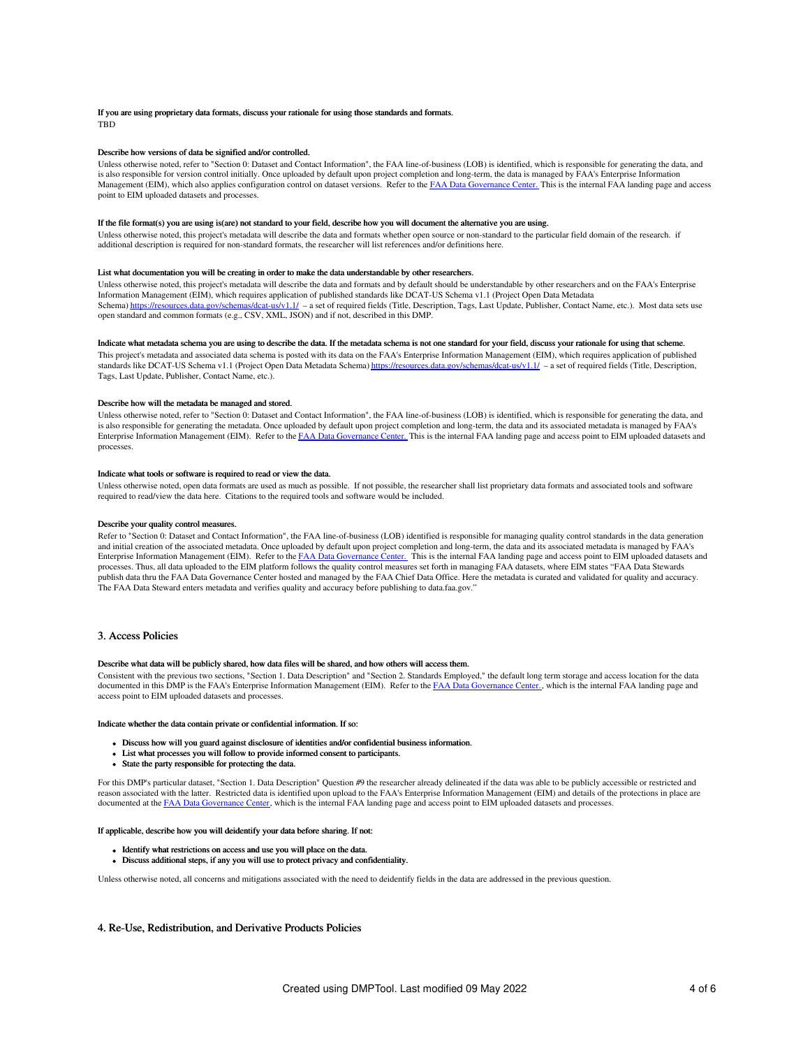## If you are using proprietary data formats, discuss your rationale for using those standards and formats. **TBD**

## Describe how versions of data be signified and/or controlled.

Unless otherwise noted, refer to "Section 0: Dataset and Contact Information", the FAA line-of-business (LOB) is identified, which is responsible for generating the data, and is also responsible for version control initially. Once uploaded by default upon project completion and long-term, the data is managed by FAA's Enterprise Information Management (EIM), which also applies configuration control on dataset versions. Refer to the FAA Data [Governance](https://dgc.eim.faa.gov/dashboard) Center. This is the internal FAA landing page and access point to EIM uploaded datasets and processes.

#### If the file format(s) you are using is(are) not standard to your field, describe how you will document the alternative you are using.

Unless otherwise noted, this project's metadata will describe the data and formats whether open source or non-standard to the particular field domain of the research. if additional description is required for non-standard formats, the researcher will list references and/or definitions here.

#### List what documentation you will be creating in order to make the data understandable by other researchers.

Unless otherwise noted, this project's metadata will describe the data and formats and by default should be understandable by other researchers and on the FAA's Enterprise Information Management (EIM), which requires application of published standards like DCAT-US Schema v1.1 (Project Open Data Metadata Schema) <https://resources.data.gov/schemas/dcat-us/v1.1/> - a set of required fields (Title, Description, Tags, Last Update, Publisher, Contact Name, etc.). Most data sets use open standard and common formats (e.g., CSV, XML, JSON) and if not, described in this DMP.

## Indicate what metadata schema you are using to describe the data. If the metadata schema is not one standard for your field, discuss your rationale for using that scheme.

This project's metadata and associated data schema is posted with its data on the FAA's Enterprise Information Management (EIM), which requires application of published standards like DCAT-US Schema v1.1 (Project Open Data Metadata Schema) <https://resources.data.gov/schemas/dcat-us/v1.1/> - a set of required fields (Title, Description, Tags, Last Update, Publisher, Contact Name, etc.).

#### Describe how will the metadata be managed and stored.

Unless otherwise noted, refer to "Section 0: Dataset and Contact Information", the FAA line-of-business (LOB) is identified, which is responsible for generating the data, and is also responsible for generating the metadata. Once uploaded by default upon project completion and long-term, the data and its associated metadata is managed by FAA's Enterprise Information Management (EIM). Refer to the FAA Data [Governance](https://dgc.eim.faa.gov/dashboard) Center. This is the internal FAA landing page and access point to EIM uploaded datasets and processes.

#### Indicate what tools or software is required to read or view the data.

Unless otherwise noted, open data formats are used as much as possible. If not possible, the researcher shall list proprietary data formats and associated tools and software required to read/view the data here. Citations to the required tools and software would be included.

## Describe your quality control measures.

Refer to "Section 0: Dataset and Contact Information", the FAA line-of-business (LOB) identified is responsible for managing quality control standards in the data generation and initial creation of the associated metadata. Once uploaded by default upon project completion and long-term, the data and its associated metadata is managed by FAA's Enterprise Information Management (EIM). Refer to the <u>FAA Data [Governance](https://dgc.eim.faa.gov/dashboard) Center.</u> This is the internal FAA landing page and access point to EIM uploaded datasets and<br>processes. Thus, all data uploaded to the EIM platform publish data thru the FAA Data Governance Center hosted and managed by the FAA Chief Data Office. Here the metadata is curated and validated for quality and accuracy. The FAA Data Steward enters metadata and verifies quality and accuracy before publishing to data.faa.gov."

## 3. Access Policies

## Describe what data will be publicly shared, how data files will be shared, and how others will access them.

Consistent with the previous two sections, "Section 1. Data Description" and "Section 2. Standards Employed," the default long term storage and access location for the data documented in this DMP is the FAA's Enterprise Information Management (EIM). Refer to the FAA Data [Governance](https://dgc.eim.faa.gov/dashboard) Center., which is the internal FAA landing page and access point to EIM uploaded datasets and processes.

### Indicate whether the data contain private or confidential information. If so:

- Discuss how will you guard against disclosure of identities and/or confidential business information.
- List what processes you will follow to provide informed consent to participants.
- State the party responsible for protecting the data.

For this DMP's particular dataset, "Section 1. Data Description" Question #9 the researcher already delineated if the data was able to be publicly accessible or restricted and reason associated with the latter. Restricted data is identified upon upload to the FAA's Enterprise Information Management (EIM) and details of the protections in place are documented at the FAA Data [Governance](https://dgc.eim.faa.gov/dashboard) Center, which is the internal FAA landing page and access point to EIM uploaded datasets and processes

## If applicable, describe how you will deidentify your data before sharing. If not:

- Identify what restrictions on access and use you will place on the data.
- Discuss additional steps, if any you will use to protect privacy and confidentiality.

Unless otherwise noted, all concerns and mitigations associated with the need to deidentify fields in the data are addressed in the previous question.

## 4. Re-Use, Redistribution, and Derivative Products Policies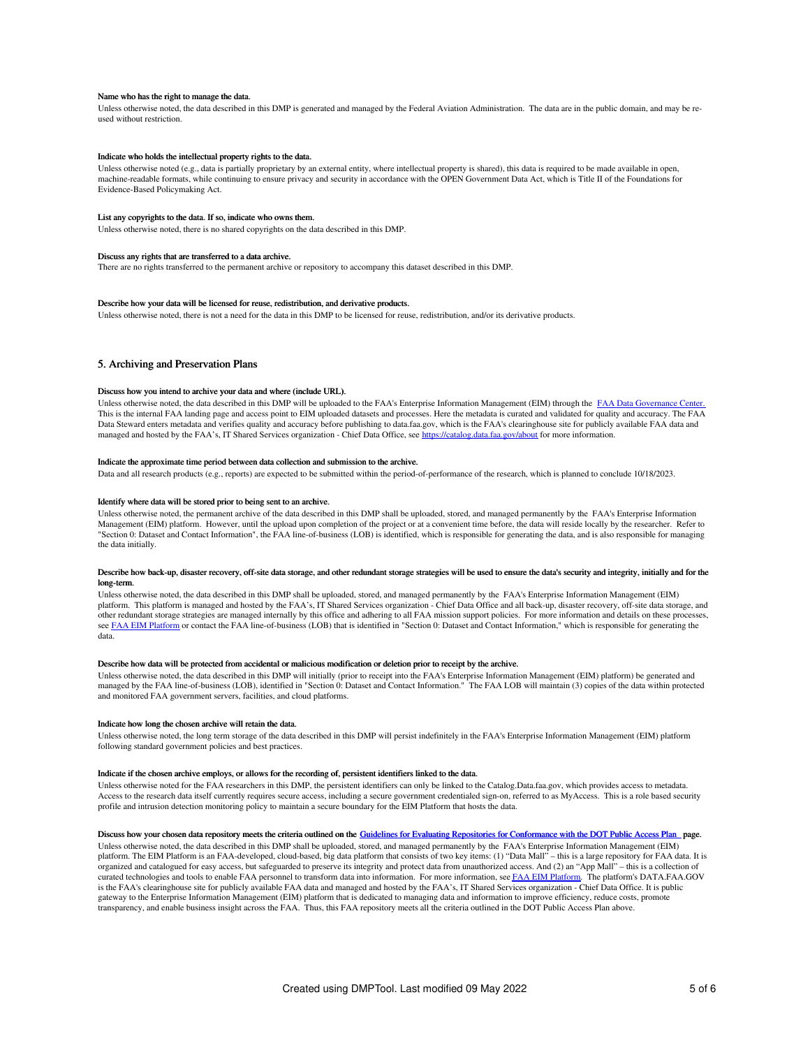#### Name who has the right to manage the data.

Unless otherwise noted, the data described in this DMP is generated and managed by the Federal Aviation Administration. The data are in the public domain, and may be reused without restriction.

## Indicate who holds the intellectual property rights to the data.

Unless otherwise noted (e.g., data is partially proprietary by an external entity, where intellectual property is shared), this data is required to be made available in open. machine-readable formats, while continuing to ensure privacy and security in accordance with the OPEN Government Data Act, which is Title II of the Foundations for Evidence-Based Policymaking Act.

### List any copyrights to the data. If so, indicate who owns them.

Unless otherwise noted, there is no shared copyrights on the data described in this DMP.

#### Discuss any rights that are transferred to a data archive.

There are no rights transferred to the permanent archive or repository to accompany this dataset described in this DMP.

## Describe how your data will be licensed for reuse, redistribution, and derivative products.

Unless otherwise noted, there is not a need for the data in this DMP to be licensed for reuse, redistribution, and/or its derivative products.

## 5. Archiving and Preservation Plans

#### Discuss how you intend to archive your data and where (include URL).

Unless otherwise noted, the data described in this DMP will be uploaded to the FAA's Enterprise Information Management (EIM) through the FAA Data [Governance](https://dgc.eim.faa.gov/dashboard) Center. This is the internal FAA landing page and access point to EIM uploaded datasets and processes. Here the metadata is curated and validated for quality and accuracy. The FAA<br>Data Steward enters metadata and verifies quality managed and hosted by the FAA's, IT Shared Services organization - Chief Data Office, see <https://catalog.data.faa.gov/about> for more information.

### Indicate the approximate time period between data collection and submission to the archive.

Data and all research products (e.g., reports) are expected to be submitted within the period-of-performance of the research, which is planned to conclude 10/18/2023.

## Identify where data will be stored prior to being sent to an archive.

Unless otherwise noted, the permanent archive of the data described in this DMP shall be uploaded, stored, and managed permanently by the FAA's Enterprise Information Management (EIM) platform. However, until the upload upon completion of the project or at a convenient time before, the data will reside locally by the researcher. Refer to "Section 0: Dataset and Contact Information", the FAA line-of-business (LOB) is identified, which is responsible for generating the data, and is also responsible for managing the data initially.

## Describe how back-up, disaster recovery, off-site data storage, and other redundant storage strategies will be used to ensure the data's security and integrity, initially and for the long-term.

Unless otherwise noted, the data described in this DMP shall be uploaded, stored, and managed permanently by the FAA's Enterprise Information Management (EIM) platform. This platform is managed and hosted by the FAA's, IT Shared Services organization - Chief Data Office and all back-up, disaster recovery, off-site data storage, and other redundant storage strategies are managed internally by this office and adhering to all FAA mission support policies. For more information and details on these processes, see FAA EIM [Platform](https://my.faa.gov/tools_resources/it_services_support/work_smarter/eim/eim_platform.html) or contact the FAA line-of-business (LOB) that is identified in "Section 0: Dataset and Contact Information," which is responsible for generating the data.

## Describe how data will be protected from accidental or malicious modification or deletion prior to receipt by the archive.

Unless otherwise noted, the data described in this DMP will initially (prior to receipt into the FAA's Enterprise Information Management (EIM) platform) be generated and managed by the FAA line-of-business (LOB), identified in "Section 0: Dataset and Contact Information." The FAA LOB will maintain (3) copies of the data within protected and monitored FAA government servers, facilities, and cloud platforms.

### Indicate how long the chosen archive will retain the data.

Unless otherwise noted, the long term storage of the data described in this DMP will persist indefinitely in the FAA's Enterprise Information Management (EIM) platform following standard government policies and best practices.

#### Indicate if the chosen archive employs, or allows for the recording of, persistent identifiers linked to the data.

Unless otherwise noted for the FAA researchers in this DMP, the persistent identifiers can only be linked to the Catalog.Data.faa.gov, which provides access to metadata. Access to the research data itself currently requires secure access, including a secure government credentialed sign-on, referred to as MyAccess. This is a role based security profile and intrusion detection monitoring policy to maintain a secure boundary for the EIM Platform that hosts the data.

#### Discuss how your chosen data repository meets the criteria outlined on the Guidelines for Evaluating Repositories for [Conformance](https://ntl.bts.gov/public-access/guidelines-evaluating-repositories) with the DOT Public Access Plan page.

Unless otherwise noted, the data described in this DMP shall be uploaded, stored, and managed permanently by the FAA's Enterprise Information Management (EIM) platform. The EIM Platform is an FAA-developed, cloud-based, big data platform that consists of two key items: (1) "Data Mall" – this is a large repository for FAA data. It is organized and catalogued for easy access, but safeguarded to preserve its integrity and protect data from unauthorized access. And (2) an "App Mall" – this is a collection of curated technologies and tools to enable FAA personnel to transform data into information. For more information, see FAA EIM [Platform](https://my.faa.gov/tools_resources/it_services_support/work_smarter/eim/eim_platform.html). The platform's DATA.FAA.GOV is the FAA's clearinghouse site for publicly available FAA data and managed and hosted by the FAA's, IT Shared Services organization - Chief Data Office. It is public gateway to the Enterprise Information Management (EIM) platform that is dedicated to managing data and information to improve efficiency, reduce costs, promote transparency, and enable business insight across the FAA. Thus, this FAA repository meets all the criteria outlined in the DOT Public Access Plan above.